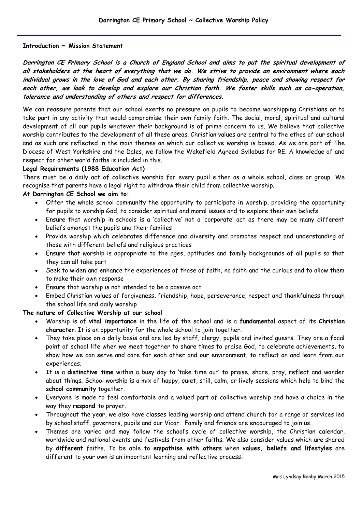### **Introduction ~ Mission Statement**

**Darrington CE Primary School is a Church of England School and aims to put the spiritual development of all stakeholders at the heart of everything that we do. We strive to provide an environment where each individual grows in the love of God and each other. By sharing friendship, peace and showing respect for each other, we look to develop and explore our Christian faith. We foster skills such as co-operation, tolerance and understanding of others and respect for differences.**

We can reassure parents that our school exerts no pressure on pupils to become worshipping Christians or to take part in any activity that would compromise their own family faith. The social, moral, spiritual and cultural development of all our pupils whatever their background is of prime concern to us. We believe that collective worship contributes to the development of all these areas. Christian values are central to the ethos of our school and as such are reflected in the main themes on which our collective worship is based. As we are part of The Diocese of West Yorkshire and the Dales, we follow the Wakefield Agreed Syllabus for RE. A knowledge of and respect for other world faiths is included in this.

#### **Legal Requirements (1988 Education Act)**

There must be a daily act of collective worship for every pupil either as a whole school, class or group. We recognise that parents have a legal right to withdraw their child from collective worship.

#### **At Darrington CE School we aim to:**

- Offer the whole school community the opportunity to participate in worship, providing the opportunity for pupils to worship God, to consider spiritual and moral issues and to explore their own beliefs
- Ensure that worship in schools is a 'collective' not a 'corporate' act as there may be many different beliefs amongst the pupils and their families
- Provide worship which celebrates difference and diversity and promotes respect and understanding of those with different beliefs and religious practices
- Ensure that worship is appropriate to the ages, aptitudes and family backgrounds of all pupils so that they can all take part
- Seek to widen and enhance the experiences of those of faith, no faith and the curious and to allow them to make their own response
- Ensure that worship is not intended to be a passive act
- Embed Christian values of forgiveness, friendship, hope, perseverance, respect and thankfulness through the school life and daily worship

### **The nature of Collective Worship at our school**

- Worship is of **vital importance** in the life of the school and is a **fundamental** aspect of its **Christian character**. It is an opportunity for the whole school to join together.
- They take place on a daily basis and are led by staff, clergy, pupils and invited guests. They are a focal point of school life when we meet together to share times to praise God, to celebrate achievements, to show how we can serve and care for each other and our environment, to reflect on and learn from our experiences.
- It is a **distinctive time** within a busy day to 'take time out' to praise, share, pray, reflect and wonder about things. School worship is a mix of happy, quiet, still, calm, or lively sessions which help to bind the **school community** together.
- Everyone is made to feel comfortable and a valued part of collective worship and have a choice in the way they **respond** to prayer.
- Throughout the year, we also have classes leading worship and attend church for a range of services led by school staff, governors, pupils and our Vicar. Family and friends are encouraged to join us.
- Themes are varied and may follow the school's cycle of collective worship, the Christian calendar, worldwide and national events and festivals from other faiths. We also consider values which are shared by **different** faiths. To be able to **empathise with others** when **values, beliefs and lifestyles** are different to your own is an important learning and reflective process.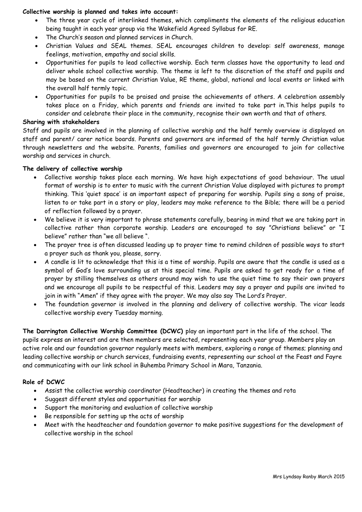# **Collective worship is planned and takes into account:**

- The three year cycle of interlinked themes, which compliments the elements of the religious education being taught in each year group via the Wakefield Agreed Syllabus for RE.
- The Church's season and planned services in Church.
- Christian Values and SEAL themes. SEAL encourages children to develop: self awareness, manage feelings, motivation, empathy and social skills.
- Opportunities for pupils to lead collective worship. Each term classes have the opportunity to lead and deliver whole school collective worship. The theme is left to the discretion of the staff and pupils and may be based on the current Christian Value, RE theme, global, national and local events or linked with the overall half termly topic.
- Opportunities for pupils to be praised and praise the achievements of others. A celebration assembly takes place on a Friday, which parents and friends are invited to take part in.This helps pupils to consider and celebrate their place in the community, recognise their own worth and that of others.

## **Sharing with stakeholders**

Staff and pupils are involved in the planning of collective worship and the half termly overview is displayed on staff and parent/ carer notice boards. Parents and governors are informed of the half termly Christian value through newsletters and the website. Parents, families and governors are encouraged to join for collective worship and services in church.

# **The delivery of collective worship**

- Collective worship takes place each morning. We have high expectations of good behaviour. The usual format of worship is to enter to music with the current Christian Value displayed with pictures to prompt thinking. This 'quiet space' is an important aspect of preparing for worship. Pupils sing a song of praise, listen to or take part in a story or play, leaders may make reference to the Bible; there will be a period of reflection followed by a prayer.
- We believe it is very important to phrase statements carefully, bearing in mind that we are taking part in collective rather than corporate worship. Leaders are encouraged to say "Christians believe" or "I believe" rather than "we all believe ".
- The prayer tree is often discussed leading up to prayer time to remind children of possible ways to start a prayer such as thank you, please, sorry.
- A candle is lit to acknowledge that this is a time of worship. Pupils are aware that the candle is used as a symbol of God's love surrounding us at this special time. Pupils are asked to get ready for a time of prayer by stilling themselves as others around may wish to use the quiet time to say their own prayers and we encourage all pupils to be respectful of this. Leaders may say a prayer and pupils are invited to join in with "Amen" if they agree with the prayer. We may also say The Lord's Prayer.
- The foundation governor is involved in the planning and delivery of collective worship. The vicar leads collective worship every Tuesday morning.

**The Darrington Collective Worship Committee (DCWC)** play an important part in the life of the school. The pupils express an interest and are then members are selected, representing each year group. Members play an active role and our foundation governor regularly meets with members, exploring a range of themes; planning and leading collective worship or church services, fundraising events, representing our school at the Feast and Fayre and communicating with our link school in Buhemba Primary School in Mara, Tanzania.

### **Role of DCWC**

- Assist the collective worship coordinator (Headteacher) in creating the themes and rota
- Suggest different styles and opportunities for worship
- Support the monitoring and evaluation of collective worship
- Be responsible for setting up the acts of worship
- Meet with the headteacher and foundation governor to make positive suggestions for the development of collective worship in the school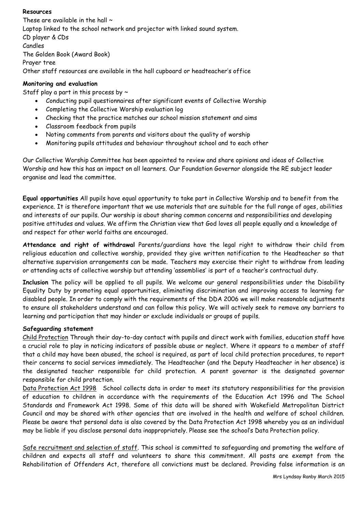# **Resources**

These are available in the hall  $\sim$ Laptop linked to the school network and projector with linked sound system. CD player & CDs Candles The Golden Book (Award Book) Prayer tree Other staff resources are available in the hall cupboard or headteacher's office

# **Monitoring and evaluation**

Staff play a part in this process by  $\sim$ 

- Conducting pupil questionnaires after significant events of Collective Worship
- Completing the Collective Worship evaluation log
- Checking that the practice matches our school mission statement and aims
- Classroom feedback from pupils
- Noting comments from parents and visitors about the quality of worship
- Monitoring pupils attitudes and behaviour throughout school and to each other

Our Collective Worship Committee has been appointed to review and share opinions and ideas of Collective Worship and how this has an impact on all learners. Our Foundation Governor alongside the RE subject leader organise and lead the committee.

**Equal opportunities** All pupils have equal opportunity to take part in Collective Worship and to benefit from the experience. It is therefore important that we use materials that are suitable for the full range of ages, abilities and interests of our pupils. Our worship is about sharing common concerns and responsibilities and developing positive attitudes and values. We affirm the Christian view that God loves all people equally and a knowledge of and respect for other world faiths are encouraged.

**Attendance and right of withdrawal** Parents/guardians have the legal right to withdraw their child from religious education and collective worship, provided they give written notification to the Headteacher so that alternative supervision arrangements can be made. Teachers may exercise their right to withdraw from leading or attending acts of collective worship but attending 'assemblies' is part of a teacher's contractual duty.

**Inclusion** The policy will be applied to all pupils. We welcome our general responsibilities under the Disability Equality Duty by promoting equal opportunities, eliminating discrimination and improving access to learning for disabled people. In order to comply with the requirements of the DDA 2006 we will make reasonable adjustments to ensure all stakeholders understand and can follow this policy. We will actively seek to remove any barriers to learning and participation that may hinder or exclude individuals or groups of pupils.

# **Safeguarding statement**

Child Protection Through their day-to-day contact with pupils and direct work with families, education staff have a crucial role to play in noticing indicators of possible abuse or neglect. Where it appears to a member of staff that a child may have been abused, the school is required, as part of local child protection procedures, to report their concerns to social services immediately. The Headteacher (and the Deputy Headteacher in her absence) is the designated teacher responsible for child protection. A parent governor is the designated governor responsible for child protection.

Data Protection Act 1998 School collects data in order to meet its statutory responsibilities for the provision of education to children in accordance with the requirements of the Education Act 1996 and The School Standards and Framework Act 1998. Some of this data will be shared with Wakefield Metropolitan District Council and may be shared with other agencies that are involved in the health and welfare of school children. Please be aware that personal data is also covered by the Data Protection Act 1998 whereby you as an individual may be liable if you disclose personal data inappropriately. Please see the school's Data Protection policy.

Safe recruitment and selection of staff. This school is committed to safeguarding and promoting the welfare of children and expects all staff and volunteers to share this commitment. All posts are exempt from the Rehabilitation of Offenders Act, therefore all convictions must be declared. Providing false information is an